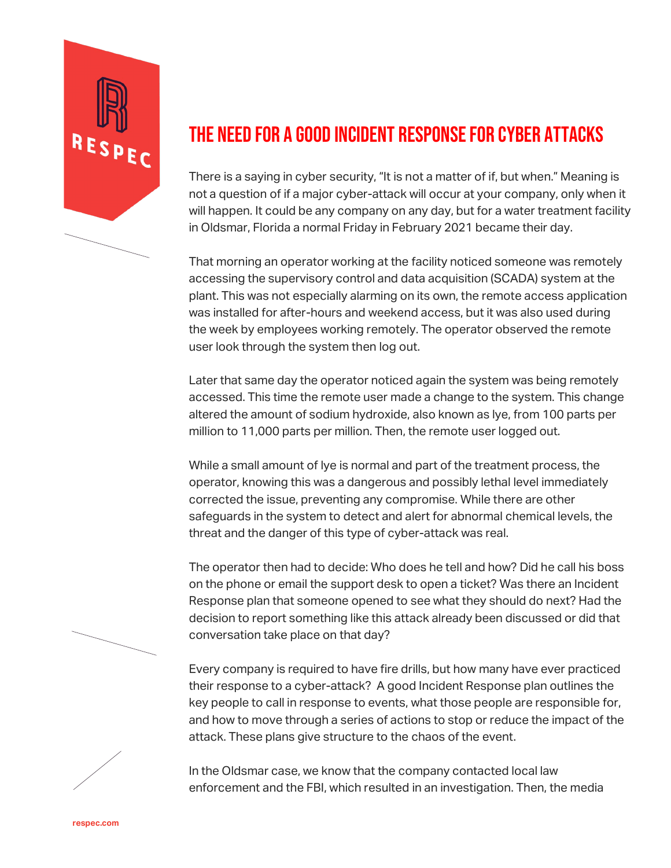

## THE NEED FOR A GOOD INCIDENT RESPONSE FOR CYBER ATTACKS

There is a saying in cyber security, "It is not a matter of if, but when." Meaning is not a question of if a major cyber-attack will occur at your company, only when it will happen. It could be any company on any day, but for a water treatment facility in Oldsmar, Florida a normal Friday in February 2021 became their day.

That morning an operator working at the facility noticed someone was remotely accessing the supervisory control and data acquisition (SCADA) system at the plant. This was not especially alarming on its own, the remote access application was installed for after-hours and weekend access, but it was also used during the week by employees working remotely. The operator observed the remote user look through the system then log out.

Later that same day the operator noticed again the system was being remotely accessed. This time the remote user made a change to the system. This change altered the amount of sodium hydroxide, also known as lye, from 100 parts per million to 11,000 parts per million. Then, the remote user logged out.

While a small amount of lye is normal and part of the treatment process, the operator, knowing this was a dangerous and possibly lethal level immediately corrected the issue, preventing any compromise. While there are other safeguards in the system to detect and alert for abnormal chemical levels, the threat and the danger of this type of cyber-attack was real.

The operator then had to decide: Who does he tell and how? Did he call his boss on the phone or email the support desk to open a ticket? Was there an Incident Response plan that someone opened to see what they should do next? Had the decision to report something like this attack already been discussed or did that conversation take place on that day?

Every company is required to have fire drills, but how many have ever practiced their response to a cyber-attack? A good Incident Response plan outlines the key people to call in response to events, what those people are responsible for, and how to move through a series of actions to stop or reduce the impact of the attack. These plans give structure to the chaos of the event.

In the Oldsmar case, we know that the company contacted local law enforcement and the FBI, which resulted in an investigation. Then, the media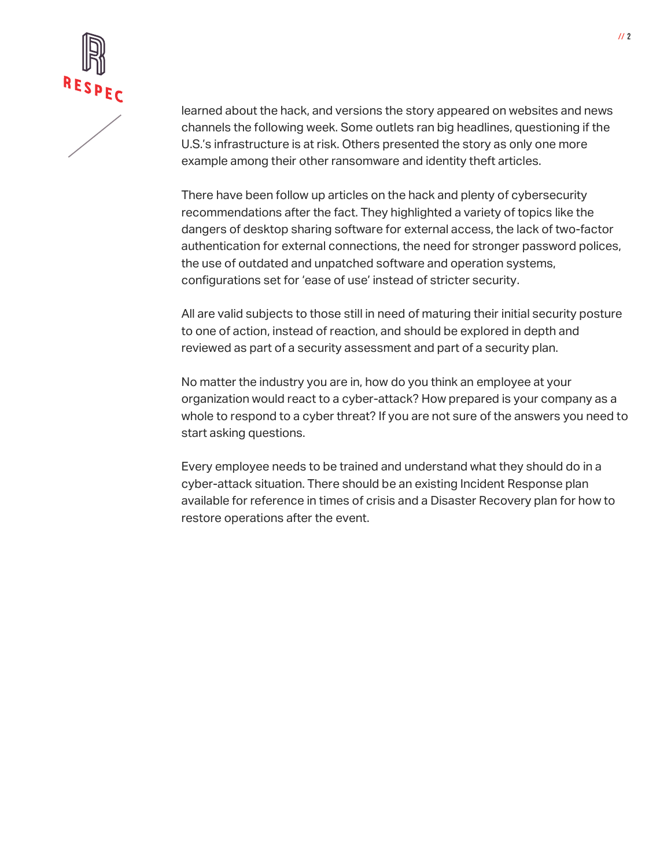

learned about the hack, and versions the story appeared on websites and news channels the following week. Some outlets ran big headlines, questioning if the U.S.'s infrastructure is at risk. Others presented the story as only one more example among their other ransomware and identity theft articles.

There have been follow up articles on the hack and plenty of cybersecurity recommendations after the fact. They highlighted a variety of topics like the dangers of desktop sharing software for external access, the lack of two-factor authentication for external connections, the need for stronger password polices, the use of outdated and unpatched software and operation systems, configurations set for 'ease of use' instead of stricter security.

All are valid subjects to those still in need of maturing their initial security posture to one of action, instead of reaction, and should be explored in depth and reviewed as part of a security assessment and part of a security plan.

No matter the industry you are in, how do you think an employee at your organization would react to a cyber-attack? How prepared is your company as a whole to respond to a cyber threat? If you are not sure of the answers you need to start asking questions.

Every employee needs to be trained and understand what they should do in a cyber-attack situation. There should be an existing Incident Response plan available for reference in times of crisis and a Disaster Recovery plan for how to restore operations after the event.